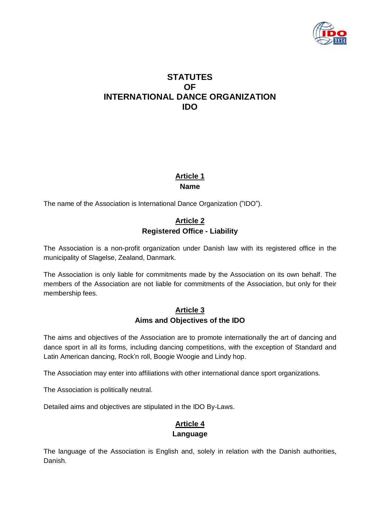

# **STATUTES OF INTERNATIONAL DANCE ORGANIZATION IDO**

# **Article 1 Name**

The name of the Association is International Dance Organization ("IDO").

# **Article 2 Registered Office - Liability**

The Association is a non-profit organization under Danish law with its registered office in the municipality of Slagelse, Zealand, Danmark.

The Association is only liable for commitments made by the Association on its own behalf. The members of the Association are not liable for commitments of the Association, but only for their membership fees.

## **Article 3 Aims and Objectives of the IDO**

The aims and objectives of the Association are to promote internationally the art of dancing and dance sport in all its forms, including dancing competitions, with the exception of Standard and Latin American dancing, Rock'n roll, Boogie Woogie and Lindy hop.

The Association may enter into affiliations with other international dance sport organizations.

The Association is politically neutral.

Detailed aims and objectives are stipulated in the IDO By-Laws.

# **Article 4 Language**

The language of the Association is English and, solely in relation with the Danish authorities, Danish.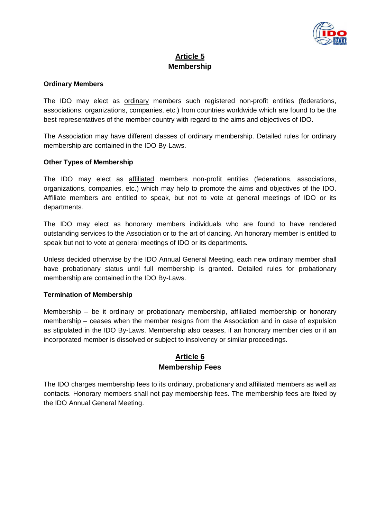

## **Article 5 Membership**

#### **Ordinary Members**

The IDO may elect as ordinary members such registered non-profit entities (federations, associations, organizations, companies, etc.) from countries worldwide which are found to be the best representatives of the member country with regard to the aims and objectives of IDO.

The Association may have different classes of ordinary membership. Detailed rules for ordinary membership are contained in the IDO By-Laws.

### **Other Types of Membership**

The IDO may elect as affiliated members non-profit entities (federations, associations, organizations, companies, etc.) which may help to promote the aims and objectives of the IDO. Affiliate members are entitled to speak, but not to vote at general meetings of IDO or its departments.

The IDO may elect as honorary members individuals who are found to have rendered outstanding services to the Association or to the art of dancing. An honorary member is entitled to speak but not to vote at general meetings of IDO or its departments.

Unless decided otherwise by the IDO Annual General Meeting, each new ordinary member shall have probationary status until full membership is granted. Detailed rules for probationary membership are contained in the IDO By-Laws.

### **Termination of Membership**

Membership – be it ordinary or probationary membership, affiliated membership or honorary membership – ceases when the member resigns from the Association and in case of expulsion as stipulated in the IDO By-Laws. Membership also ceases, if an honorary member dies or if an incorporated member is dissolved or subject to insolvency or similar proceedings.

### **Article 6 Membership Fees**

The IDO charges membership fees to its ordinary, probationary and affiliated members as well as contacts. Honorary members shall not pay membership fees. The membership fees are fixed by the IDO Annual General Meeting.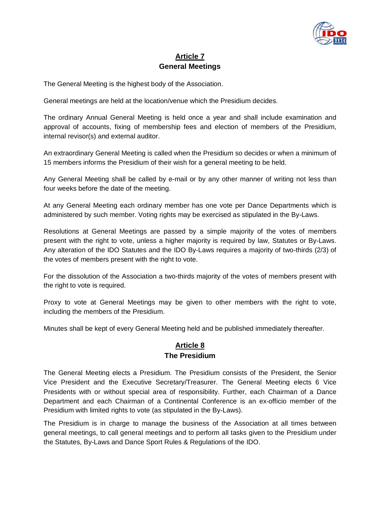

## **Article 7 General Meetings**

The General Meeting is the highest body of the Association.

General meetings are held at the location/venue which the Presidium decides.

The ordinary Annual General Meeting is held once a year and shall include examination and approval of accounts, fixing of membership fees and election of members of the Presidium, internal revisor(s) and external auditor.

An extraordinary General Meeting is called when the Presidium so decides or when a minimum of 15 members informs the Presidium of their wish for a general meeting to be held.

Any General Meeting shall be called by e-mail or by any other manner of writing not less than four weeks before the date of the meeting.

At any General Meeting each ordinary member has one vote per Dance Departments which is administered by such member. Voting rights may be exercised as stipulated in the By-Laws.

Resolutions at General Meetings are passed by a simple majority of the votes of members present with the right to vote, unless a higher majority is required by law, Statutes or By-Laws. Any alteration of the IDO Statutes and the IDO By-Laws requires a majority of two-thirds (2/3) of the votes of members present with the right to vote.

For the dissolution of the Association a two-thirds majority of the votes of members present with the right to vote is required.

Proxy to vote at General Meetings may be given to other members with the right to vote, including the members of the Presidium.

Minutes shall be kept of every General Meeting held and be published immediately thereafter.

## **Article 8 The Presidium**

The General Meeting elects a Presidium. The Presidium consists of the President, the Senior Vice President and the Executive Secretary/Treasurer. The General Meeting elects 6 Vice Presidents with or without special area of responsibility. Further, each Chairman of a Dance Department and each Chairman of a Continental Conference is an ex-officio member of the Presidium with limited rights to vote (as stipulated in the By-Laws).

The Presidium is in charge to manage the business of the Association at all times between general meetings, to call general meetings and to perform all tasks given to the Presidium under the Statutes, By-Laws and Dance Sport Rules & Regulations of the IDO.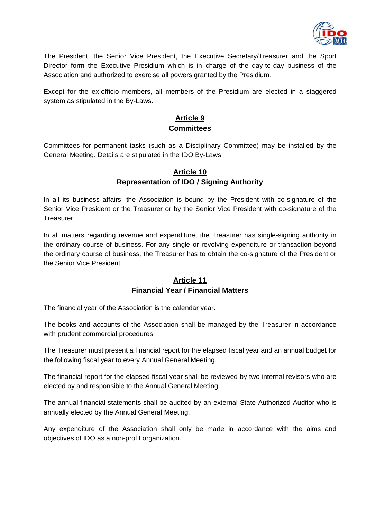

The President, the Senior Vice President, the Executive Secretary/Treasurer and the Sport Director form the Executive Presidium which is in charge of the day-to-day business of the Association and authorized to exercise all powers granted by the Presidium.

Except for the ex-officio members, all members of the Presidium are elected in a staggered system as stipulated in the By-Laws.

# **Article 9 Committees**

Committees for permanent tasks (such as a Disciplinary Committee) may be installed by the General Meeting. Details are stipulated in the IDO By-Laws.

### **Article 10 Representation of IDO / Signing Authority**

In all its business affairs, the Association is bound by the President with co-signature of the Senior Vice President or the Treasurer or by the Senior Vice President with co-signature of the Treasurer.

In all matters regarding revenue and expenditure, the Treasurer has single-signing authority in the ordinary course of business. For any single or revolving expenditure or transaction beyond the ordinary course of business, the Treasurer has to obtain the co-signature of the President or the Senior Vice President.

## **Article 11 Financial Year / Financial Matters**

The financial year of the Association is the calendar year.

The books and accounts of the Association shall be managed by the Treasurer in accordance with prudent commercial procedures.

The Treasurer must present a financial report for the elapsed fiscal year and an annual budget for the following fiscal year to every Annual General Meeting.

The financial report for the elapsed fiscal year shall be reviewed by two internal revisors who are elected by and responsible to the Annual General Meeting.

The annual financial statements shall be audited by an external State Authorized Auditor who is annually elected by the Annual General Meeting.

Any expenditure of the Association shall only be made in accordance with the aims and objectives of IDO as a non-profit organization.